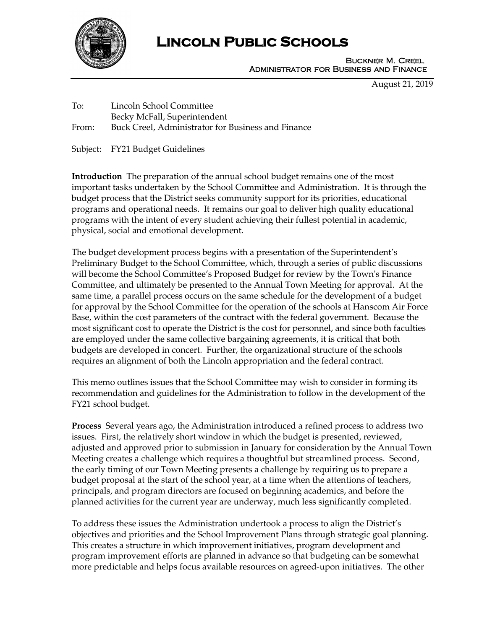

# **Lincoln Public Schools**

Buckner M. Creel Administrator for Business and Finance

August 21, 2019

To: Lincoln School Committee Becky McFall, Superintendent From: Buck Creel, Administrator for Business and Finance

Subject: FY21 Budget Guidelines

**Introduction** The preparation of the annual school budget remains one of the most important tasks undertaken by the School Committee and Administration. It is through the budget process that the District seeks community support for its priorities, educational programs and operational needs. It remains our goal to deliver high quality educational programs with the intent of every student achieving their fullest potential in academic, physical, social and emotional development.

The budget development process begins with a presentation of the Superintendent's Preliminary Budget to the School Committee, which, through a series of public discussions will become the School Committee's Proposed Budget for review by the Town's Finance Committee, and ultimately be presented to the Annual Town Meeting for approval. At the same time, a parallel process occurs on the same schedule for the development of a budget for approval by the School Committee for the operation of the schools at Hanscom Air Force Base, within the cost parameters of the contract with the federal government. Because the most significant cost to operate the District is the cost for personnel, and since both faculties are employed under the same collective bargaining agreements, it is critical that both budgets are developed in concert. Further, the organizational structure of the schools requires an alignment of both the Lincoln appropriation and the federal contract.

This memo outlines issues that the School Committee may wish to consider in forming its recommendation and guidelines for the Administration to follow in the development of the FY21 school budget.

**Process** Several years ago, the Administration introduced a refined process to address two issues. First, the relatively short window in which the budget is presented, reviewed, adjusted and approved prior to submission in January for consideration by the Annual Town Meeting creates a challenge which requires a thoughtful but streamlined process. Second, the early timing of our Town Meeting presents a challenge by requiring us to prepare a budget proposal at the start of the school year, at a time when the attentions of teachers, principals, and program directors are focused on beginning academics, and before the planned activities for the current year are underway, much less significantly completed.

To address these issues the Administration undertook a process to align the District's objectives and priorities and the School Improvement Plans through strategic goal planning. This creates a structure in which improvement initiatives, program development and program improvement efforts are planned in advance so that budgeting can be somewhat more predictable and helps focus available resources on agreed-upon initiatives. The other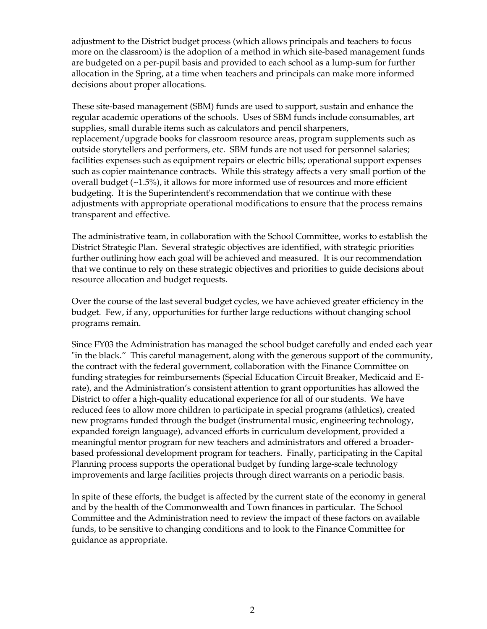adjustment to the District budget process (which allows principals and teachers to focus more on the classroom) is the adoption of a method in which site-based management funds are budgeted on a per-pupil basis and provided to each school as a lump-sum for further allocation in the Spring, at a time when teachers and principals can make more informed decisions about proper allocations.

These site-based management (SBM) funds are used to support, sustain and enhance the regular academic operations of the schools. Uses of SBM funds include consumables, art supplies, small durable items such as calculators and pencil sharpeners, replacement/upgrade books for classroom resource areas, program supplements such as outside storytellers and performers, etc. SBM funds are not used for personnel salaries; facilities expenses such as equipment repairs or electric bills; operational support expenses such as copier maintenance contracts. While this strategy affects a very small portion of the overall budget (~1.5%), it allows for more informed use of resources and more efficient budgeting. It is the Superintendent's recommendation that we continue with these adjustments with appropriate operational modifications to ensure that the process remains transparent and effective.

The administrative team, in collaboration with the School Committee, works to establish the District Strategic Plan. Several strategic objectives are identified, with strategic priorities further outlining how each goal will be achieved and measured. It is our recommendation that we continue to rely on these strategic objectives and priorities to guide decisions about resource allocation and budget requests.

Over the course of the last several budget cycles, we have achieved greater efficiency in the budget. Few, if any, opportunities for further large reductions without changing school programs remain.

Since FY03 the Administration has managed the school budget carefully and ended each year "in the black." This careful management, along with the generous support of the community, the contract with the federal government, collaboration with the Finance Committee on funding strategies for reimbursements (Special Education Circuit Breaker, Medicaid and Erate), and the Administration's consistent attention to grant opportunities has allowed the District to offer a high-quality educational experience for all of our students. We have reduced fees to allow more children to participate in special programs (athletics), created new programs funded through the budget (instrumental music, engineering technology, expanded foreign language), advanced efforts in curriculum development, provided a meaningful mentor program for new teachers and administrators and offered a broaderbased professional development program for teachers. Finally, participating in the Capital Planning process supports the operational budget by funding large-scale technology improvements and large facilities projects through direct warrants on a periodic basis.

In spite of these efforts, the budget is affected by the current state of the economy in general and by the health of the Commonwealth and Town finances in particular. The School Committee and the Administration need to review the impact of these factors on available funds, to be sensitive to changing conditions and to look to the Finance Committee for guidance as appropriate.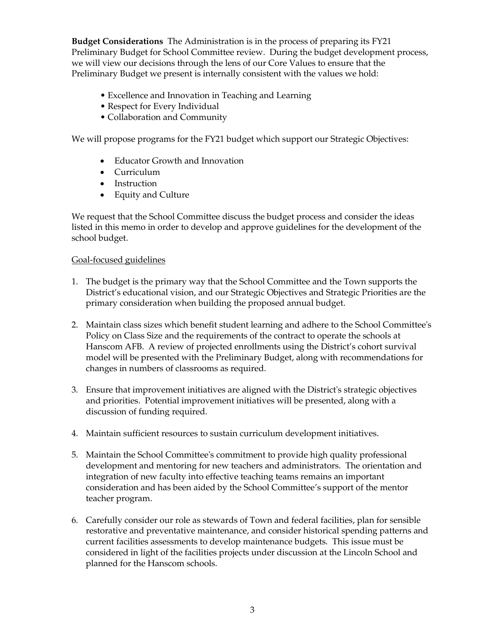**Budget Considerations** The Administration is in the process of preparing its FY21 Preliminary Budget for School Committee review. During the budget development process, we will view our decisions through the lens of our Core Values to ensure that the Preliminary Budget we present is internally consistent with the values we hold:

- Excellence and Innovation in Teaching and Learning
- Respect for Every Individual
- Collaboration and Community

We will propose programs for the FY21 budget which support our Strategic Objectives:

- Educator Growth and Innovation
- Curriculum
- Instruction
- Equity and Culture

We request that the School Committee discuss the budget process and consider the ideas listed in this memo in order to develop and approve guidelines for the development of the school budget.

#### Goal-focused guidelines

- 1. The budget is the primary way that the School Committee and the Town supports the District's educational vision, and our Strategic Objectives and Strategic Priorities are the primary consideration when building the proposed annual budget.
- 2. Maintain class sizes which benefit student learning and adhere to the School Committee's Policy on Class Size and the requirements of the contract to operate the schools at Hanscom AFB. A review of projected enrollments using the District's cohort survival model will be presented with the Preliminary Budget, along with recommendations for changes in numbers of classrooms as required.
- 3. Ensure that improvement initiatives are aligned with the District's strategic objectives and priorities. Potential improvement initiatives will be presented, along with a discussion of funding required.
- 4. Maintain sufficient resources to sustain curriculum development initiatives.
- 5. Maintain the School Committee's commitment to provide high quality professional development and mentoring for new teachers and administrators. The orientation and integration of new faculty into effective teaching teams remains an important consideration and has been aided by the School Committee's support of the mentor teacher program.
- 6. Carefully consider our role as stewards of Town and federal facilities, plan for sensible restorative and preventative maintenance, and consider historical spending patterns and current facilities assessments to develop maintenance budgets. This issue must be considered in light of the facilities projects under discussion at the Lincoln School and planned for the Hanscom schools.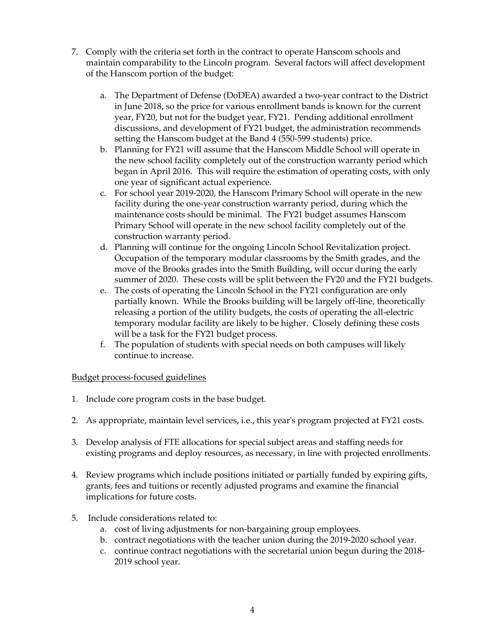- 7. Comply with the criteria set forth in the contract to operate Hanscom schools and maintain comparability to the Lincoln program. Several factors will affect development of the Hanscom portion of the budget:
	- a. The Department of Defense (DoDEA) awarded a two-year contract to the District in June 2018, so the price for various enrollment bands is known for the current year, FY20, but not for the budget year, FY21. Pending additional enrollment discussions, and development of FY21 budget, the administration recommends setting the Hanscom budget at the Band 4 (550-599 students) price.
	- b. Planning for FY21 will assume that the Hanscom Middle School will operate in the new school facility completely out of the construction warranty period which began in April 2016. This will require the estimation of operating costs, with only one year of significant actual experience.
	- c. For school year 2019-2020, the Hanscom Primary School will operate in the new facility during the one-year construction warranty period, during which the maintenance costs should be minimal. The FY21 budget assumes Hanscom Primary School will operate in the new school facility completely out of the construction warranty period.
	- d. Planning will continue for the ongoing Lincoln School Revitalization project. Occupation of the temporary modular classrooms by the Smith grades, and the move of the Brooks grades into the Smith Building, will occur during the early summer of 2020. These costs will be split between the FY20 and the FY21 budgets.
	- e. The costs of operating the Lincoln School in the FY21 configuration are only partially known. While the Brooks building will be largely off-line, theoretically releasing a portion of the utility budgets, the costs of operating the all-electric temporary modular facility are likely to be higher. Closely defining these costs will be a task for the FY21 budget process.
	- f. The population of students with special needs on both campuses will likely continue to increase.

# Budget process-focused guidelines

- 1. Include core program costs in the base budget.
- 2. As appropriate, maintain level services, i.e., this year's program projected at FY21 costs.
- 3. Develop analysis of FTE allocations for special subject areas and staffing needs for existing programs and deploy resources, as necessary, in line with projected enrollments.
- 4. Review programs which include positions initiated or partially funded by expiring gifts, grants, fees and tuitions or recently adjusted programs and examine the financial implications for future costs.
- 5. Include considerations related to:
	- a. cost of living adjustments for non-bargaining group employees.
	- b. contract negotiations with the teacher union during the 2019-2020 school year.
	- c. continue contract negotiations with the secretarial union begun during the 2018- 2019 school year.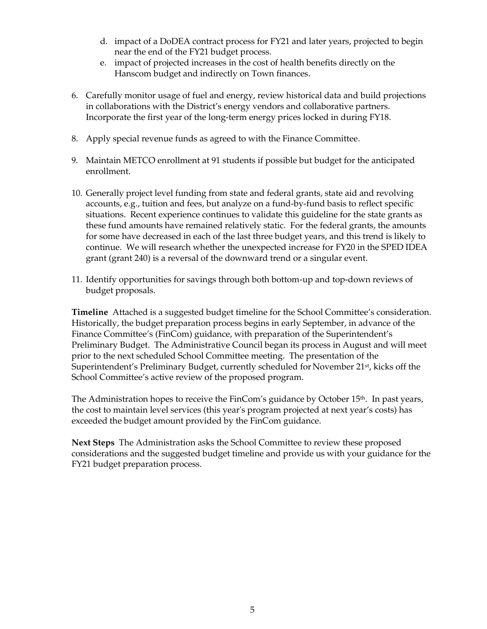- d. impact of a DoDEA contract process for FY21 and later years, projected to begin near the end of the FY21 budget process.
- e. impact of projected increases in the cost of health benefits directly on the Hanscom budget and indirectly on Town finances.
- 6. Carefully monitor usage of fuel and energy, review historical data and build projections in collaborations with the District's energy vendors and collaborative partners. Incorporate the first year of the long-term energy prices locked in during FY18.
- 8. Apply special revenue funds as agreed to with the Finance Committee.
- 9. Maintain METCO enrollment at 91 students if possible but budget for the anticipated enrollment.
- 10. Generally project level funding from state and federal grants, state aid and revolving accounts, e.g., tuition and fees, but analyze on a fund-by-fund basis to reflect specific situations. Recent experience continues to validate this guideline for the state grants as these fund amounts have remained relatively static. For the federal grants, the amounts for some have decreased in each of the last three budget years, and this trend is likely to continue. We will research whether the unexpected increase for FY20 in the SPED IDEA grant (grant 240) is a reversal of the downward trend or a singular event.
- 11. Identify opportunities for savings through both bottom-up and top-down reviews of budget proposals.

**Timeline** Attached is a suggested budget timeline for the School Committee's consideration. Historically, the budget preparation process begins in early September, in advance of the Finance Committee's (FinCom) guidance, with preparation of the Superintendent's Preliminary Budget. The Administrative Council began its process in August and will meet prior to the next scheduled School Committee meeting. The presentation of the Superintendent's Preliminary Budget, currently scheduled for November 21<sup>st</sup>, kicks off the School Committee's active review of the proposed program.

The Administration hopes to receive the FinCom's guidance by October  $15<sup>th</sup>$ . In past years, the cost to maintain level services (this year's program projected at next year's costs) has exceeded the budget amount provided by the FinCom guidance.

**Next Steps** The Administration asks the School Committee to review these proposed considerations and the suggested budget timeline and provide us with your guidance for the FY21 budget preparation process.